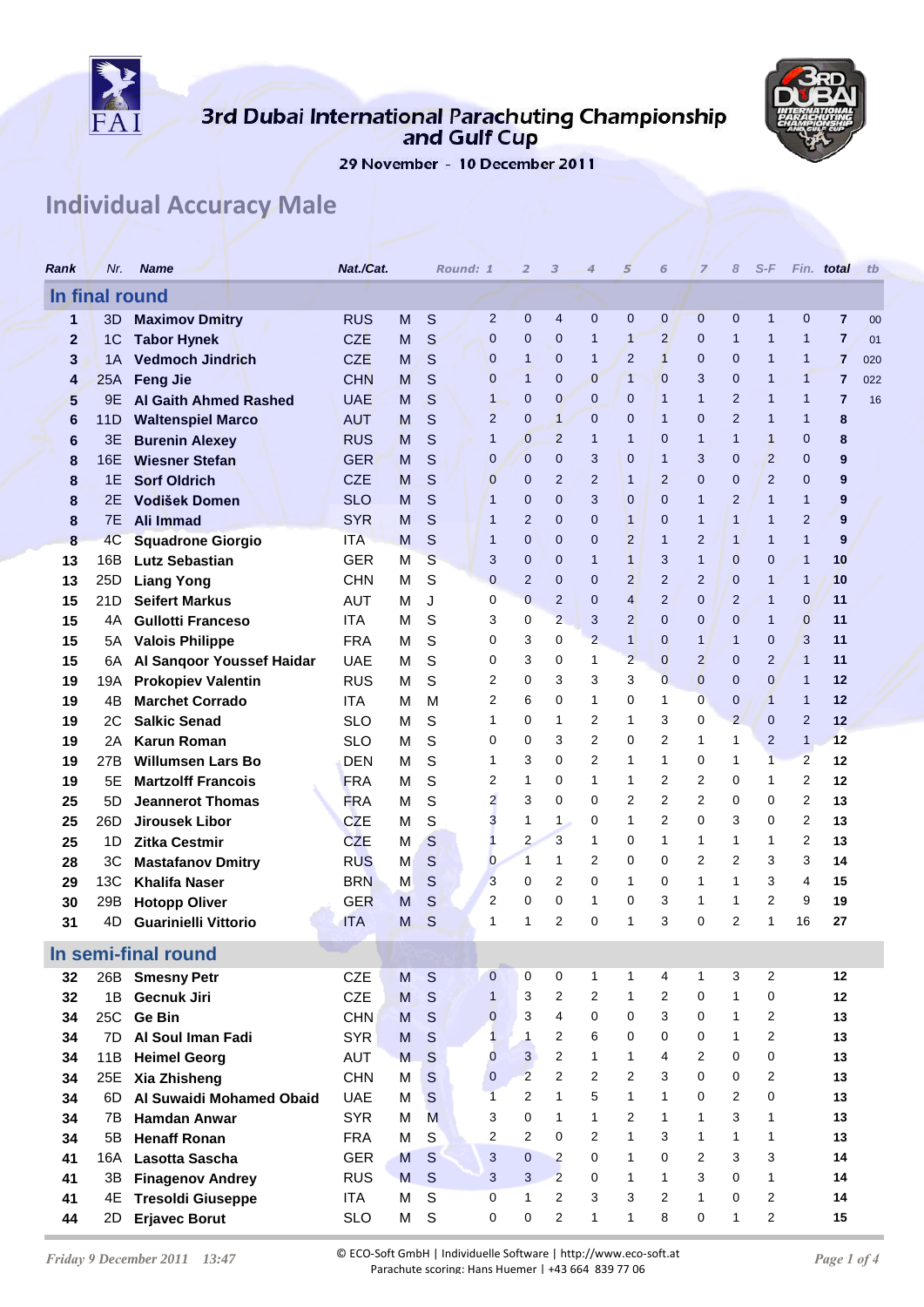

## 3rd Dubai International Parachuting Championship<br>and Gulf Cup



29 November - 10 December 2011

## **Individual Accuracy Male**

| Rank           | Nr.            | <b>Name</b>                                  | Nat./Cat.                |        |              | Round: 1 |                  | 2                              | 3                                | $\overline{4}$      | 5                            | 6                              | $\overline{z}$      | 8                              | $S-F$                            |                  | Fin. total     | tb  |
|----------------|----------------|----------------------------------------------|--------------------------|--------|--------------|----------|------------------|--------------------------------|----------------------------------|---------------------|------------------------------|--------------------------------|---------------------|--------------------------------|----------------------------------|------------------|----------------|-----|
|                | In final round |                                              |                          |        |              |          |                  |                                |                                  |                     |                              |                                |                     |                                |                                  |                  |                |     |
| 1              | 3D             | <b>Maximov Dmitry</b>                        | <b>RUS</b>               | M      | S            |          | $\overline{2}$   | $\mathbf{0}$                   | 4                                | 0                   | $\mathbf{0}$                 | $\mathbf 0$                    | $\mathbf{0}$        | $\mathbf 0$                    | $\mathbf{1}$                     | $\mathbf{0}$     | $\overline{7}$ | 00  |
| $\overline{2}$ | 1 <sup>C</sup> | <b>Tabor Hynek</b>                           | <b>CZE</b>               | M      | S            |          | 0                | $\mathbf{0}$                   | $\mathbf{0}$                     | 1                   | $\mathbf{1}$                 | $\overline{2}$                 | $\mathbf{0}$        | 1                              | $\mathbf 1$                      | $\mathbf{1}$     | $\overline{7}$ | 01  |
| 3              | 1A             | <b>Vedmoch Jindrich</b>                      | <b>CZE</b>               | M      | S            |          | 0                | $\mathbf{1}$                   | 0                                | 1                   | $\overline{2}$               | $\mathbf{1}$                   | $\mathbf{0}$        | $\overline{0}$                 | $\mathbf 1$                      | $\mathbf{1}$     | $\overline{7}$ | 020 |
| 4              | 25A            | <b>Feng Jie</b>                              | <b>CHN</b>               | M      | S            |          | $\overline{0}$   | $\mathbf{1}$                   | $\mathbf{0}$                     | 0                   | $\mathbf{1}$                 | $\mathbf{0}$                   | 3                   | $\mathbf 0$                    | $\mathbf 1$                      | $\mathbf{1}$     | 7              | 022 |
| 5              | 9Ε             | <b>Al Gaith Ahmed Rashed</b>                 | <b>UAE</b>               | M      | S            |          | 1                | $\mathbf{0}$                   | 0                                | 0                   | $\mathbf 0$                  | $\mathbf{1}$                   | $\mathbf{1}$        | 2                              | 1                                | $\mathbf{1}$     | 7              | 16  |
| 6              | 11D            | <b>Waltenspiel Marco</b>                     | <b>AUT</b>               | M      | S            |          | $\overline{2}$   | $\mathbf{0}$                   | $\mathbf{1}$                     | $\mathbf 0$         | $\mathbf{0}$                 | $\mathbf{1}$                   | $\overline{0}$      | 2                              | $\mathbf 1$                      | $\mathbf{1}$     | 8              |     |
| 6              | 3E             | <b>Burenin Alexey</b>                        | <b>RUS</b>               | M      | S            |          | 1                | $\mathbf{0}$                   | $\overline{2}$                   | 1                   | $\mathbf{1}$                 | $\mathbf{0}$                   | $\mathbf{1}$        | 1                              | $\mathbf{1}$                     | 0                | 8              |     |
| 8              | 16E            | <b>Wiesner Stefan</b><br><b>Sorf Oldrich</b> | <b>GER</b>               | M      | S            |          | 0<br>0           | $\overline{0}$<br>$\mathbf{0}$ | $\mathbf{0}$<br>$\overline{2}$   | 3<br>$\overline{2}$ | $\mathbf{0}$<br>$\mathbf{1}$ | $\mathbf{1}$<br>$\overline{2}$ | 3<br>$\mathbf{0}$   | $\overline{0}$<br>$\mathbf{0}$ | $\overline{2}$<br>$\overline{2}$ | $\mathbf 0$<br>0 | 9              |     |
| 8              | 1E<br>2Ε       | Vodišek Domen                                | <b>CZE</b><br><b>SLO</b> | M<br>М | S<br>S       |          | 1                | $\mathbf{0}$                   | $\mathbf{0}$                     | 3                   | $\mathbf 0$                  | $\mathbf{0}$                   | $\mathbf{1}$        | $\overline{2}$                 | $\mathbf{1}$                     | $\mathbf{1}$     | 9<br>9         |     |
| 8<br>8         | 7Е             | Ali Immad                                    | <b>SYR</b>               | M      | S            |          | 1                | $\overline{2}$                 | 0                                | 0                   | $\overline{1}$               | $\mathbf{0}$                   | $\mathbf{1}$        | 1                              | $\mathbf{1}$                     | $\overline{2}$   | 9              |     |
| 8              | 4 <sub>C</sub> | <b>Squadrone Giorgio</b>                     | <b>ITA</b>               | M      | S            |          | 1                | $\mathbf{0}$                   | $\mathbf{0}$                     | 0                   | $\overline{2}$               | $\mathbf{1}$                   | 2                   | 1                              | $\mathbf 1$                      | $\mathbf{1}$     | 9              |     |
| 13             | 16B            | <b>Lutz Sebastian</b>                        | <b>GER</b>               | М      | S            |          | 3                | $\mathbf{0}$                   | $\mathbf{0}$                     | 1                   | $\overline{1}$               | 3                              | $\mathbf{1}$        | $\mathbf 0$                    | $\mathbf{0}$                     | $\mathbf{1}$     | 10             |     |
| 13             | 25D            | <b>Liang Yong</b>                            | <b>CHN</b>               | М      | S            |          | $\overline{0}$   | $\overline{2}$                 | $\mathbf{0}$                     | 0                   | $\overline{2}$               | $\overline{2}$                 | $\overline{2}$      | $\overline{0}$                 | $\mathbf{1}$                     | $\mathbf 1$      | 10             |     |
| 15             | 21D            | <b>Seifert Markus</b>                        | <b>AUT</b>               | м      | J            |          | 0                | $\overline{0}$                 | $\overline{2}$                   | 0                   | $\overline{4}$               | $\overline{2}$                 | $\mathbf{0}$        | $\overline{2}$                 | $\mathbf 1$                      | $\mathbf{0}$     | 11             |     |
| 15             | 4Α             | <b>Gullotti Franceso</b>                     | ITA                      | М      | S            |          | 3                | 0                              | $\overline{2}$                   | 3                   | $\overline{2}$               | $\mathbf{0}$                   | $\mathbf 0$         | 0                              | $\mathbf 1$                      | $\mathbf{0}$     | 11             |     |
| 15             | 5A .           | <b>Valois Philippe</b>                       | <b>FRA</b>               | м      | S            |          | 0                | 3                              | 0                                | $\overline{2}$      | $\mathbf{1}$                 | $\mathbf{0}$                   | $\mathbf{1}$        | 1                              | $\overline{0}$                   | 3                | 11             |     |
| 15             | 6A             | Al Sangoor Youssef Haidar                    | <b>UAE</b>               | М      | S            |          | 0                | 3                              | 0                                | 1                   | $\overline{2}$               | $\mathbf{0}$                   | 2                   | $\mathbf 0$                    | 2                                | $\mathbf{1}$     | 11             |     |
| 19             | 19A            | <b>Prokopiev Valentin</b>                    | <b>RUS</b>               | М      | S            |          | 2                | 0                              | 3                                | 3                   | 3                            | $\overline{0}$                 | $\mathbf 0$         | $\overline{0}$                 | $\mathbf 0$                      | $\mathbf{1}$     | 12             |     |
| 19             | 4B             | <b>Marchet Corrado</b>                       | <b>ITA</b>               | м      | M            |          | 2                | 6                              | 0                                | 1                   | 0                            | 1                              | $\mathbf 0$         | 0                              | $\mathbf{1}$                     | $\mathbf{1}$     | 12             |     |
| 19             | 2C             | <b>Salkic Senad</b>                          | <b>SLO</b>               | М      | S            |          | 1                | 0                              | 1                                | 2                   | 1                            | 3                              | 0                   | $\overline{2}$                 | $\mathbf{0}$                     | $\overline{2}$   | 12             |     |
| 19             | 2Α             | <b>Karun Roman</b>                           | <b>SLO</b>               | М      | S            |          | 0                | 0                              | 3                                | 2                   | 0                            | $\overline{2}$                 | $\mathbf{1}$        | 1                              | $\overline{2}$                   | $\mathbf{1}$     | 12             |     |
| 19             | 27B            | <b>Willumsen Lars Bo</b>                     | <b>DEN</b>               | М      | S            |          | 1                | 3                              | 0                                | 2                   | 1                            | 1                              | 0                   | 1                              | $\overline{1}$                   | 2                | 12             |     |
| 19             | 5Е             | <b>Martzolff Francois</b>                    | <b>FRA</b>               | М      | S            |          | 2                | 1                              | 0                                | 1                   | 1                            | 2                              | 2                   | 0                              | 1                                | 2                | 12             |     |
| 25             | 5D             | <b>Jeannerot Thomas</b>                      | <b>FRA</b>               | M      | S            |          | $\overline{2}$   | 3                              | 0                                | 0                   | 2                            | $\overline{2}$                 | 2                   | 0                              | 0                                | 2                | 13             |     |
| 25             | 26D            | Jirousek Libor                               | <b>CZE</b>               | M      | S            |          | 3                | 1                              | 1.                               | 0                   | $\mathbf{1}$                 | $\overline{2}$                 | 0                   | 3                              | 0                                | 2                | 13             |     |
| 25             | 1D             | <b>Zitka Cestmir</b>                         | <b>CZE</b>               | м      | S            |          | 1                | $\overline{2}$                 | 3                                | 1                   | 0                            | 1                              | 1                   | 1                              | 1                                | 2                | 13             |     |
| 28             | 3C             | <b>Mastafanov Dmitry</b>                     | <b>RUS</b>               | М      | S            |          | $\mathbf 0$      | $\mathbf{1}$                   | 1                                | 2                   | 0                            | 0                              | 2                   | 2                              | 3                                | 3                | 14             |     |
| 29             | 13C            | <b>Khalifa Naser</b>                         | <b>BRN</b>               | M      | S            |          | 3                | 0                              | 2                                | 0                   | $\mathbf{1}$                 | 0                              | 1                   | 1                              | 3                                | 4                | 15             |     |
| 30             | 29B            | <b>Hotopp Oliver</b>                         | <b>GER</b>               | M      | S            |          | 2                | 0                              | 0                                | 1                   | 0                            | 3                              | 1                   | 1                              | $\overline{2}$                   | 9                | 19             |     |
| 31             | 4D             | <b>Guarinielli Vittorio</b>                  | <b>ITA</b>               | M      | S            |          | 1                | 1                              | 2                                | 0                   | 1                            | 3                              | 0                   | 2                              | 1                                | 16               | 27             |     |
|                |                | In semi-final round                          |                          |        |              |          |                  |                                |                                  |                     |                              |                                |                     |                                |                                  |                  |                |     |
| 32             | 26B            | <b>Smesny Petr</b>                           | <b>CZE</b>               | M      | S            |          | $\mathbf{0}$     | 0                              | 0                                | $\mathbf{1}$        | $\mathbf{1}$                 | 4                              | $\mathbf{1}$        | 3                              | 2                                |                  | $12 \,$        |     |
| 32             | 1B             | Gecnuk Jiri                                  | <b>CZE</b>               | M      | $\mathsf{S}$ |          | $\mathbf{1}$     | 3                              | 2                                | $\overline{2}$      | $\mathbf{1}$                 | 2                              | 0                   | 1                              | 0                                |                  | 12             |     |
| 34             | 25C            | <b>Ge Bin</b>                                | CHN                      | M      | $\mathsf S$  |          | 0                | 3                              | $\overline{4}$                   | 0                   | 0                            | 3                              | 0                   | $\mathbf{1}$                   | $\overline{2}$                   |                  | 13             |     |
| 34             | 7D             | Al Soul Iman Fadi                            | <b>SYR</b>               | M      | S            |          | $\mathbf{1}$     | $\mathbf{1}$                   | 2                                | 6                   | 0                            | $\mathbf 0$                    | 0                   | $\mathbf{1}$                   | 2                                |                  | 13             |     |
| 34             | 11B            | <b>Heimel Georg</b>                          | AUT                      | M      | S            |          | 0                | 3                              | 2                                | $\mathbf{1}$        | $\mathbf{1}$                 | 4                              | 2                   | $\mathbf 0$                    | 0                                |                  | 13             |     |
| 34             | 25E            | Xia Zhisheng                                 | <b>CHN</b>               | М      | $\mathsf S$  |          | $\boldsymbol{0}$ | $\overline{2}$                 | $\overline{c}$                   | $\overline{2}$      | 2                            | 3                              | 0                   | 0                              | 2                                |                  | 13             |     |
| 34             | 6D             | Al Suwaidi Mohamed Obaid                     | <b>UAE</b>               | м      | S            |          | $\overline{1}$   | $\overline{2}$                 | $\mathbf{1}$                     | 5                   | $\mathbf{1}$                 | $\mathbf{1}$                   | 0                   | 2                              | 0                                |                  | 13             |     |
| 34             | 7B             | <b>Hamdan Anwar</b>                          | <b>SYR</b>               | M      | M            |          | 3                | $\mathbf 0$                    | $\mathbf{1}$                     | $\mathbf{1}$        | 2                            | $\mathbf{1}$                   | $\mathbf{1}$        | 3                              | $\mathbf{1}$                     |                  | 13             |     |
| 34             | 5B             | <b>Henaff Ronan</b>                          | <b>FRA</b>               | M      | S            |          | 2                | $\overline{2}$                 | 0                                | 2                   | $\mathbf{1}$                 | 3                              | $\mathbf{1}$        | $\mathbf{1}$                   | 1                                |                  | 13             |     |
| 41             | 16A            | Lasotta Sascha                               | <b>GER</b>               | M      | S            |          | 3                | $\overline{0}$<br>3            | $\overline{2}$<br>$\overline{2}$ | 0<br>0              | $\mathbf{1}$<br>$\mathbf{1}$ | $\mathbf 0$<br>$\mathbf{1}$    | $\overline{2}$<br>3 | 3<br>$\mathbf 0$               | 3<br>$\mathbf{1}$                |                  | 14             |     |
| 41             | 3B             | <b>Finagenov Andrey</b>                      | <b>RUS</b>               | M      | S            |          | 3<br>0           | 1                              | 2                                | 3                   | 3                            | 2                              | $\mathbf{1}$        | 0                              | 2                                |                  | 14<br>14       |     |
| 41             | 4E             | <b>Tresoldi Giuseppe</b>                     | <b>ITA</b>               | M      | S<br>S       |          | 0                | 0                              | 2                                | $\mathbf{1}$        | $\mathbf{1}$                 | 8                              | 0                   | 1                              | $\overline{2}$                   |                  | 15             |     |
| 44             | 2D             | <b>Erjavec Borut</b>                         | <b>SLO</b>               | М      |              |          |                  |                                |                                  |                     |                              |                                |                     |                                |                                  |                  |                |     |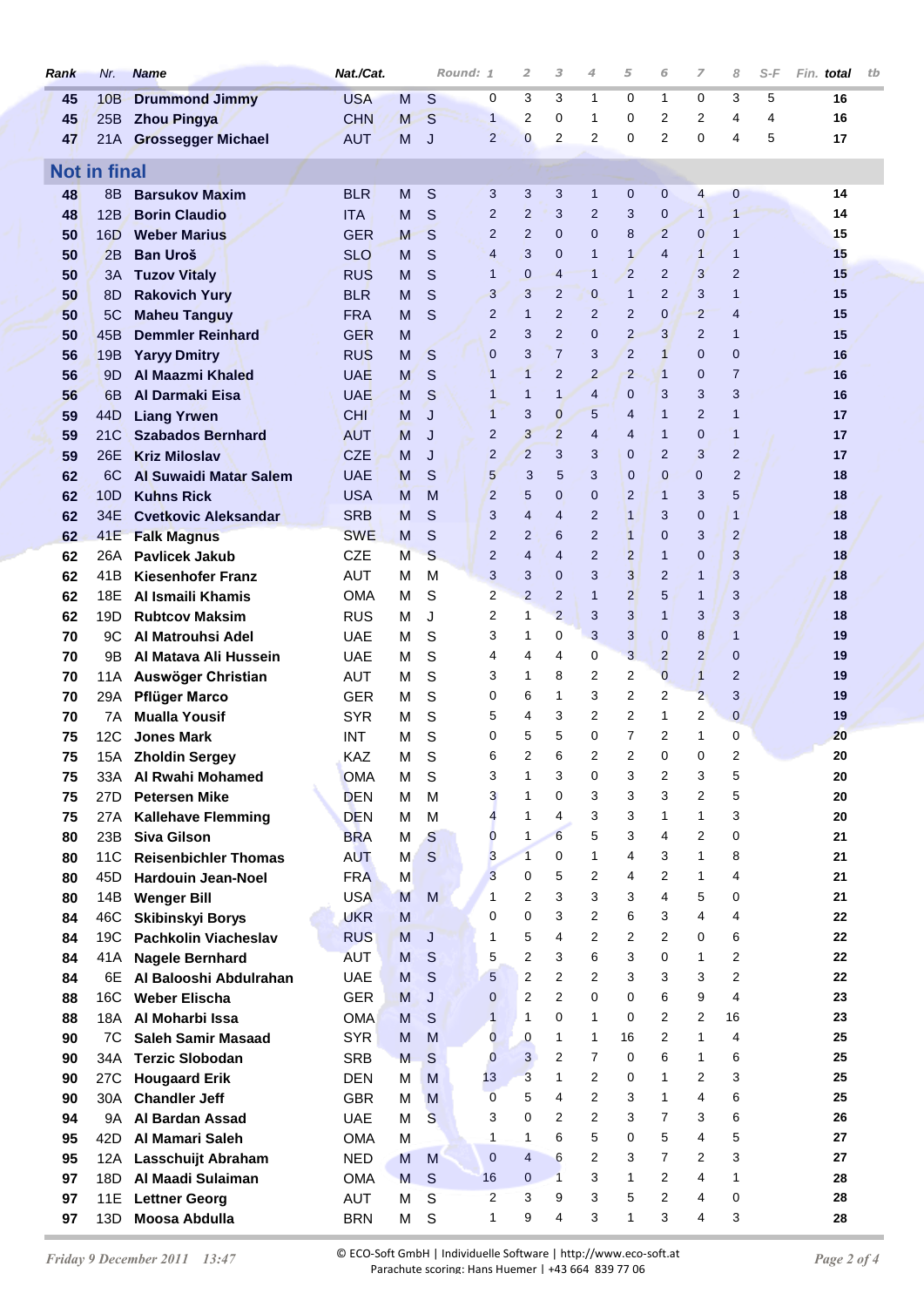| Rank     | Nr.                 | <b>Name</b>                                       | Nat./Cat.                |        |                                                                                                                                                                                                                                                                                                                                                                                                                                                               | Round: 1            | 2                   | 3                 | 4              | 5                                | 6              | 7                | 8                 | S-F | Fin. total | tb |
|----------|---------------------|---------------------------------------------------|--------------------------|--------|---------------------------------------------------------------------------------------------------------------------------------------------------------------------------------------------------------------------------------------------------------------------------------------------------------------------------------------------------------------------------------------------------------------------------------------------------------------|---------------------|---------------------|-------------------|----------------|----------------------------------|----------------|------------------|-------------------|-----|------------|----|
| 45       | 10B                 | <b>Drummond Jimmy</b>                             | <b>USA</b>               | м      | S                                                                                                                                                                                                                                                                                                                                                                                                                                                             | 0                   | 3                   | 3                 | 1              | 0                                | 1              | 0                | 3                 | 5   | 16         |    |
| 45       | 25B                 | <b>Zhou Pingya</b>                                | <b>CHN</b>               | M      | S                                                                                                                                                                                                                                                                                                                                                                                                                                                             | $\mathbf{1}$        | 2                   | 0                 | 1              | 0                                | 2              | 2                | 4                 | 4   | 16         |    |
| 47       | 21A -               | <b>Grossegger Michael</b>                         | <b>AUT</b>               | M      | J                                                                                                                                                                                                                                                                                                                                                                                                                                                             | 2                   | $\bf{0}$            | 2                 | 2              | 0                                | 2              | 0                | 4                 | 5   | 17         |    |
|          | <b>Not in final</b> |                                                   |                          |        |                                                                                                                                                                                                                                                                                                                                                                                                                                                               |                     |                     |                   |                |                                  |                |                  |                   |     |            |    |
| 48       | 8B                  | <b>Barsukov Maxim</b>                             | <b>BLR</b>               | M      | S                                                                                                                                                                                                                                                                                                                                                                                                                                                             | 3                   | 3                   | 3                 | $\mathbf{1}$   | $\mathbf 0$                      | $\mathbf{0}$   | $\overline{4}$   | $\bf{0}$          |     | 14         |    |
| 48       | 12B                 | <b>Borin Claudio</b>                              | <b>ITA</b>               | M      | S                                                                                                                                                                                                                                                                                                                                                                                                                                                             | $\overline{2}$      | $\overline{2}$      | 3                 | 2              | 3                                | $\mathbf 0$    | $\mathbf{1}$     | $\overline{1}$    |     | 14         |    |
| 50       | 16D                 | <b>Weber Marius</b>                               | <b>GER</b>               | M      | S                                                                                                                                                                                                                                                                                                                                                                                                                                                             | 2                   | $\overline{2}$      | 0                 | 0              | 8                                | $\overline{2}$ | $\mathbf{0}$     | $\mathbf{1}$      |     | 15         |    |
| 50       | 2B                  | <b>Ban Uroš</b>                                   | <b>SLO</b>               | M      | S                                                                                                                                                                                                                                                                                                                                                                                                                                                             | 4                   | 3                   | 0                 | 1              | $\mathbf{1}$                     | $\overline{4}$ | $\mathbf{1}$     | $\mathbf{1}$      |     | 15         |    |
| 50       | ЗΑ                  | <b>Tuzov Vitaly</b>                               | <b>RUS</b>               | M      | $\mathsf{S}$                                                                                                                                                                                                                                                                                                                                                                                                                                                  | 1                   | 0                   | 4                 | $\mathbf{1}$   | $\overline{2}$                   | $\overline{2}$ | 3                | $\overline{2}$    |     | 15         |    |
| 50       | 8D                  | <b>Rakovich Yury</b>                              | <b>BLR</b>               | M      | S                                                                                                                                                                                                                                                                                                                                                                                                                                                             | 3                   | 3                   | 2                 | 0              | $\mathbf{1}$                     | $\overline{2}$ | 3                | $\mathbf{1}$      |     | 15         |    |
| 50       | 5C                  | <b>Maheu Tanguy</b>                               | <b>FRA</b>               | M      | S                                                                                                                                                                                                                                                                                                                                                                                                                                                             | 2                   | $\mathbf{1}$        | $\overline{2}$    | 2              | $\overline{2}$                   | $\mathbf 0$    | $\overline{2}$   | $\overline{4}$    |     | 15         |    |
| 50       | 45B                 | <b>Demmler Reinhard</b>                           | <b>GER</b>               | M      |                                                                                                                                                                                                                                                                                                                                                                                                                                                               | $\overline{2}$      | 3                   | $\overline{2}$    | 0              | $\overline{2}$                   | 3              | $\overline{2}$   | $\mathbf{1}$      |     | 15         |    |
| 56       | 19B                 | <b>Yaryy Dmitry</b>                               | <b>RUS</b>               | M      | $\mathsf S$                                                                                                                                                                                                                                                                                                                                                                                                                                                   | $\mathbf{0}$        | 3                   | $\overline{7}$    | 3              | 2                                | $\mathbf{1}$   | $\mathbf 0$      | $\mathbf{0}$      |     | 16         |    |
| 56       | 9D                  | <b>Al Maazmi Khaled</b>                           | <b>UAE</b>               | M      | S                                                                                                                                                                                                                                                                                                                                                                                                                                                             | $\mathbf{1}$        | $\mathbf{1}$        | $\overline{2}$    | $\overline{2}$ | $\overline{2}$                   | $\overline{1}$ | $\mathbf 0$      | $\overline{7}$    |     | 16         |    |
| 56       | 6 <sub>B</sub>      | <b>Al Darmaki Eisa</b>                            | <b>UAE</b>               | M      | S                                                                                                                                                                                                                                                                                                                                                                                                                                                             | 1                   | $\mathbf{1}$        | $\mathbf{1}$      | $\overline{4}$ | $\mathbf{0}$                     | 3              | 3                | 3                 |     | 16         |    |
| 59       | 44D                 | <b>Liang Yrwen</b>                                | <b>CHI</b>               | M      | J                                                                                                                                                                                                                                                                                                                                                                                                                                                             | $\mathbf{1}$        | 3                   | 0                 | 5              | $\overline{4}$                   | $\mathbf{1}$   | $\overline{2}$   | $\mathbf{1}$      |     | 17         |    |
| 59       | 21C                 | <b>Szabados Bernhard</b>                          | <b>AUT</b>               | M      | J                                                                                                                                                                                                                                                                                                                                                                                                                                                             | 2                   | 3                   | $\overline{c}$    | 4              | 4                                | 1              | $\mathbf 0$      | $\mathbf{1}$      |     | 17         |    |
| 59       | 26E                 | <b>Kriz Miloslav</b>                              | <b>CZE</b>               | M      | J                                                                                                                                                                                                                                                                                                                                                                                                                                                             | $\overline{2}$      | $\overline{2}$      | 3                 | 3              | 0                                | 2              | 3                | $\overline{2}$    |     | 17         |    |
| 62       | 6C                  | <b>Al Suwaidi Matar Salem</b>                     | <b>UAE</b>               | M      | S                                                                                                                                                                                                                                                                                                                                                                                                                                                             | 5                   | 3                   | 5                 | 3              | $\mathbf 0$                      | 0              | 0                | $\overline{2}$    |     | 18         |    |
| 62       | 10D                 | <b>Kuhns Rick</b>                                 | <b>USA</b>               | M      | M                                                                                                                                                                                                                                                                                                                                                                                                                                                             | $\overline{2}$<br>3 | 5<br>4              | $\mathbf{0}$<br>4 | 0<br>2         | $\overline{2}$<br>$\overline{1}$ | 1<br>3         | 3<br>$\mathbf 0$ | 5<br>$\mathbf{1}$ |     | 18<br>18   |    |
| 62<br>62 | 34E<br>41E          | <b>Cvetkovic Aleksandar</b><br><b>Falk Magnus</b> | <b>SRB</b><br><b>SWE</b> | M<br>M | S<br>$\mathsf{S}% _{T}=\mathsf{S}_{T}\!\left( a,b\right) ,\ \mathsf{S}_{T}=\mathsf{S}_{T}\!\left( a,b\right) ,\ \mathsf{S}_{T}=\mathsf{S}_{T}\!\left( a,b\right) ,\ \mathsf{S}_{T}=\mathsf{S}_{T}\!\left( a,b\right) ,\ \mathsf{S}_{T}=\mathsf{S}_{T}\!\left( a,b\right) ,\ \mathsf{S}_{T}=\mathsf{S}_{T}\!\left( a,b\right) ,\ \mathsf{S}_{T}=\mathsf{S}_{T}\!\left( a,b\right) ,\ \mathsf{S}_{T}=\mathsf{S}_{T}\!\left( a,b\right) ,\ \mathsf{S}_{T}=\math$ | 2                   | 2                   | 6                 | 2              | $\mathbf{1}$                     | 0              | 3                | $\overline{2}$    |     | 18         |    |
| 62       | 26A                 | <b>Pavlicek Jakub</b>                             | <b>CZE</b>               | М      | $\mathsf{S}$                                                                                                                                                                                                                                                                                                                                                                                                                                                  | 2                   | 4                   | 4                 | 2              | $\overline{2}$                   | $\mathbf{1}$   | $\mathbf 0$      | 3                 |     | 18         |    |
| 62       | 41B                 | <b>Kiesenhofer Franz</b>                          | <b>AUT</b>               | М      | M                                                                                                                                                                                                                                                                                                                                                                                                                                                             | 3                   | 3                   | 0                 | 3              | 3                                | $\overline{2}$ | $\mathbf{1}$     | 3                 |     | 18         |    |
| 62       | 18E                 | Al Ismaili Khamis                                 | <b>OMA</b>               | м      | S                                                                                                                                                                                                                                                                                                                                                                                                                                                             | 2                   | 2                   | $\overline{2}$    | $\mathbf{1}$   | $\overline{2}$                   | 5              | $\mathbf{1}$     | 3                 |     | 18         |    |
| 62       | 19 <sub>D</sub>     | <b>Rubtcov Maksim</b>                             | <b>RUS</b>               | м      | J                                                                                                                                                                                                                                                                                                                                                                                                                                                             | $\overline{2}$      | 1                   | $\overline{2}$    | 3              | 3                                | $\mathbf{1}$   | 3                | 3                 |     | 18         |    |
| 70       | 9C                  | Al Matrouhsi Adel                                 | <b>UAE</b>               | М      | S                                                                                                                                                                                                                                                                                                                                                                                                                                                             | 3                   | 1                   | 0                 | 3              | 3                                | $\mathbf 0$    | 8                | $\mathbf{1}$      |     | 19         |    |
| 70       | 9B                  | Al Matava Ali Hussein                             | <b>UAE</b>               | М      | S                                                                                                                                                                                                                                                                                                                                                                                                                                                             | 4                   | 4                   | 4                 | 0              | 3                                | $\overline{2}$ | $\overline{2}$   | $\mathbf{0}$      |     | 19         |    |
| 70       | 11A                 | Auswöger Christian                                | AUT                      | М      | S                                                                                                                                                                                                                                                                                                                                                                                                                                                             | 3                   | 1                   | 8                 | 2              | 2                                | $\overline{0}$ | $\mathbf{1}$     | $\overline{2}$    |     | 19         |    |
| 70       | 29A                 | <b>Pflüger Marco</b>                              | <b>GER</b>               | м      | S                                                                                                                                                                                                                                                                                                                                                                                                                                                             | 0                   | 6                   | 1                 | 3              | 2                                | 2              | $\overline{2}$   | 3                 |     | 19         |    |
| 70       | 7Α                  | <b>Mualla Yousif</b>                              | <b>SYR</b>               | м      | S                                                                                                                                                                                                                                                                                                                                                                                                                                                             | 5                   | 4                   | 3                 | 2              | 2                                | $\mathbf{1}$   | 2                | $\mathbf 0$       |     | 19         |    |
| 75       | 12C                 | <b>Jones Mark</b>                                 | INT                      | М      | S                                                                                                                                                                                                                                                                                                                                                                                                                                                             | 0                   | 5                   | 5                 | 0              | 7                                | 2              | 1                | 0                 |     | 20         |    |
| 75       | 15A                 | <b>Zholdin Sergey</b>                             | <b>KAZ</b>               | м      | S                                                                                                                                                                                                                                                                                                                                                                                                                                                             | 6                   | 2                   | 6                 | 2              | $\overline{2}$                   | $\Omega$       | 0                | 2                 |     | 20         |    |
| 75       | 33A                 | Al Rwahi Mohamed                                  | <b>OMA</b>               | M      | $\mathsf S$                                                                                                                                                                                                                                                                                                                                                                                                                                                   | 3                   | 1                   | 3                 | 0              | 3                                | 2              | 3                | 5                 |     | 20         |    |
| 75       | 27D                 | <b>Petersen Mike</b>                              | <b>DEN</b>               | M      | M                                                                                                                                                                                                                                                                                                                                                                                                                                                             | 3                   | 1                   | 0                 | 3              | 3                                | 3              | 2                | 5                 |     | 20         |    |
| 75       | 27A                 | <b>Kallehave Flemming</b>                         | <b>DEN</b>               | м      | M                                                                                                                                                                                                                                                                                                                                                                                                                                                             | 4                   | $\mathbf{1}$        | 4                 | 3              | 3                                | $\mathbf{1}$   | 1                | 3                 |     | 20         |    |
| 80       | 23B                 | <b>Siva Gilson</b>                                | <b>BRA</b>               | м      | S                                                                                                                                                                                                                                                                                                                                                                                                                                                             | 0                   | 1                   | 6                 | 5              | 3                                | 4              | $\overline{2}$   | 0                 |     | 21         |    |
| 80       | 11C                 | <b>Reisenbichler Thomas</b>                       | <b>AUT</b>               | M      | $\mathsf S$                                                                                                                                                                                                                                                                                                                                                                                                                                                   | 3<br>3              | $\overline{1}$<br>0 | 0<br>5            | 1<br>2         | 4<br>4                           | 3<br>2         | 1<br>1           | 8<br>4            |     | 21<br>21   |    |
| 80<br>80 | 45D<br>14B          | <b>Hardouin Jean-Noel</b><br><b>Wenger Bill</b>   | <b>FRA</b><br><b>USA</b> | M<br>M | M                                                                                                                                                                                                                                                                                                                                                                                                                                                             | $\mathbf{1}$        | 2                   | 3                 | 3              | 3                                | 4              | 5                | 0                 |     | 21         |    |
| 84       | 46C                 | <b>Skibinskyi Borys</b>                           | <b>UKR</b>               | M      |                                                                                                                                                                                                                                                                                                                                                                                                                                                               | 0                   | 0                   | 3                 | 2              | 6                                | 3              | $\overline{4}$   | 4                 |     | 22         |    |
| 84       | 19C                 | Pachkolin Viacheslav                              | <b>RUS</b>               | M      | J                                                                                                                                                                                                                                                                                                                                                                                                                                                             | 1                   | 5                   | 4                 | 2              | 2                                | 2              | 0                | 6                 |     | 22         |    |
| 84       | 41A                 | <b>Nagele Bernhard</b>                            | <b>AUT</b>               | M      | $\mathsf S$                                                                                                                                                                                                                                                                                                                                                                                                                                                   | 5                   | $\overline{2}$      | 3                 | 6              | 3                                | 0              | 1                | $\overline{2}$    |     | 22         |    |
| 84       | 6E                  | Al Balooshi Abdulrahan                            | <b>UAE</b>               | M      | $\mathsf S$                                                                                                                                                                                                                                                                                                                                                                                                                                                   | 5                   | $\overline{2}$      | 2                 | 2              | 3                                | 3              | 3                | $\overline{2}$    |     | 22         |    |
| 88       | <b>16C</b>          | <b>Weber Elischa</b>                              | <b>GER</b>               | M      | J                                                                                                                                                                                                                                                                                                                                                                                                                                                             | 0                   | 2                   | $\overline{2}$    | 0              | 0                                | 6              | 9                | 4                 |     | 23         |    |
| 88       | 18A                 | Al Moharbi Issa                                   | <b>OMA</b>               | M      | $\mathsf S$                                                                                                                                                                                                                                                                                                                                                                                                                                                   | 1                   | $\mathbf{1}$        | 0                 | 1              | 0                                | 2              | $\overline{2}$   | 16                |     | 23         |    |
| 90       | 7C                  | <b>Saleh Samir Masaad</b>                         | <b>SYR</b>               | M      | M                                                                                                                                                                                                                                                                                                                                                                                                                                                             | $\overline{0}$      | 0                   | 1                 | 1              | 16                               | 2              | 1                | $\overline{4}$    |     | 25         |    |
| 90       | 34A                 | <b>Terzic Slobodan</b>                            | <b>SRB</b>               | M      | S                                                                                                                                                                                                                                                                                                                                                                                                                                                             | $\mathbf 0$         | 3                   | 2                 | 7              | 0                                | 6              | $\mathbf{1}$     | 6                 |     | 25         |    |
| 90       | 27C                 | <b>Hougaard Erik</b>                              | <b>DEN</b>               | м      | M                                                                                                                                                                                                                                                                                                                                                                                                                                                             | 13                  | 3                   | $\mathbf{1}$      | 2              | 0                                | 1              | $\overline{2}$   | 3                 |     | 25         |    |
| 90       | 30A                 | <b>Chandler Jeff</b>                              | <b>GBR</b>               | м      | M                                                                                                                                                                                                                                                                                                                                                                                                                                                             | $\mathbf 0$         | 5                   | 4                 | 2              | 3                                | 1              | 4                | 6                 |     | 25         |    |
| 94       | 9A                  | Al Bardan Assad                                   | <b>UAE</b>               | M      | $\mathsf{S}$                                                                                                                                                                                                                                                                                                                                                                                                                                                  | 3                   | 0                   | 2                 | 2              | 3                                | $\overline{7}$ | 3                | 6                 |     | 26         |    |
| 95       | 42D                 | Al Mamari Saleh                                   | <b>OMA</b>               | M      |                                                                                                                                                                                                                                                                                                                                                                                                                                                               | $\mathbf{1}$        | 1                   | 6                 | 5              | 0                                | 5              | 4                | 5                 |     | 27         |    |
| 95       | 12A                 | Lasschuijt Abraham                                | <b>NED</b>               | M      | M                                                                                                                                                                                                                                                                                                                                                                                                                                                             | $\mathbf{0}$        | $\overline{4}$      | 6                 | $\overline{2}$ | 3                                | $\overline{7}$ | $\overline{2}$   | 3                 |     | 27         |    |
| 97       | 18D                 | Al Maadi Sulaiman                                 | <b>OMA</b>               | M      | $\mathbf S$                                                                                                                                                                                                                                                                                                                                                                                                                                                   | 16                  | $\mathbf{0}$        | $\overline{1}$    | 3              | $\mathbf{1}$                     | 2              | $\overline{4}$   | $\mathbf{1}$      |     | 28         |    |
| 97       | 11E                 | <b>Lettner Georg</b>                              | AUT                      | M      | $\mathsf S$                                                                                                                                                                                                                                                                                                                                                                                                                                                   | 2                   | 3                   | 9                 | 3              | 5                                | 2              | 4                | 0                 |     | 28         |    |
| 97       | 13D                 | Moosa Abdulla                                     | <b>BRN</b>               | М      | S                                                                                                                                                                                                                                                                                                                                                                                                                                                             | $\mathbf{1}$        | 9                   | 4                 | 3              | 1                                | 3              | 4                | 3                 |     | 28         |    |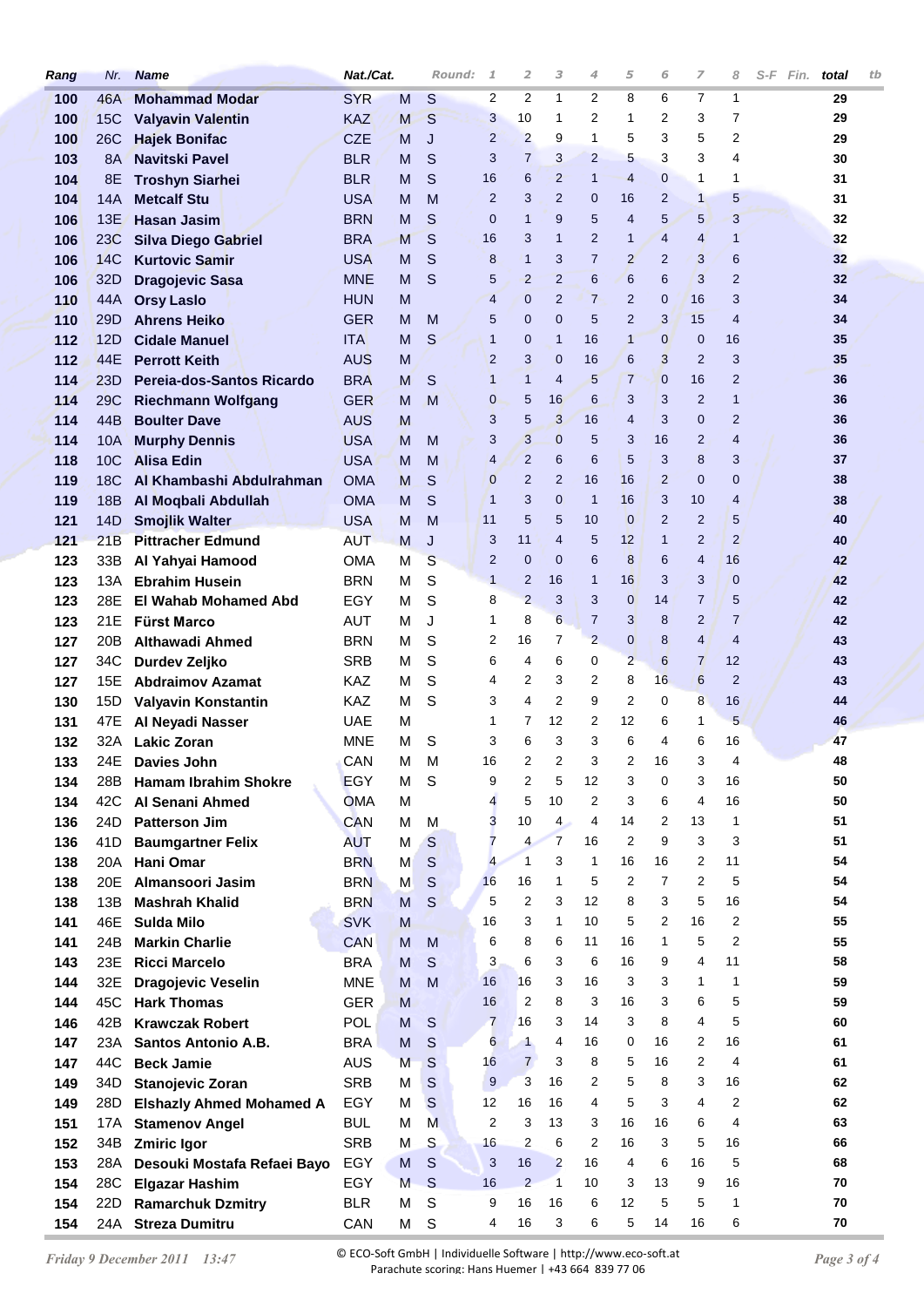| Rang | Nr.             | <b>Name</b>                     | Nat./Cat.  |   | Round:        | $\mathcal{I}$  | 2              | 3              | 4              | 5              | 6              | 7              | 8              | $S-F$ | Fin. | total | tb |
|------|-----------------|---------------------------------|------------|---|---------------|----------------|----------------|----------------|----------------|----------------|----------------|----------------|----------------|-------|------|-------|----|
| 100  | 46A             | <b>Mohammad Modar</b>           | <b>SYR</b> | M | S             | 2              | 2              | 1              | 2              | 8              | 6              | 7              | 1              |       |      | 29    |    |
| 100  | <b>15C</b>      | <b>Valyavin Valentin</b>        | <b>KAZ</b> | M | S             | 3              | 10             | 1              | 2              | 1              | 2              | 3              | 7              |       |      | 29    |    |
| 100  | 26C             | <b>Hajek Bonifac</b>            | <b>CZE</b> | M | J             | $\overline{2}$ | $\overline{2}$ | 9              | 1              | 5              | 3              | 5              | 2              |       |      | 29    |    |
| 103  | <b>8A</b>       | <b>Navitski Pavel</b>           | <b>BLR</b> | M | S             | 3              | $\overline{7}$ | 3              | $\overline{2}$ | 5              | 3              | 3              | 4              |       |      | 30    |    |
| 104  | 8E              | <b>Troshyn Siarhei</b>          | <b>BLR</b> | M | S             | 16             | 6              | $\overline{2}$ | $\mathbf{1}$   | 4              | $\mathbf{0}$   | 1              | 1              |       |      | 31    |    |
| 104  | 14A             | <b>Metcalf Stu</b>              | <b>USA</b> | M | M             | $\overline{2}$ | 3              | $\overline{2}$ | $\mathbf 0$    | 16             | $\overline{2}$ | $\mathbf{1}$   | 5              |       |      | 31    |    |
| 106  | 13E             | <b>Hasan Jasim</b>              | <b>BRN</b> | M | S             | $\mathbf{0}$   | $\mathbf{1}$   | 9              | 5              | $\overline{4}$ | 5              | 5              | 3              |       |      | 32    |    |
| 106  | 23C             | <b>Silva Diego Gabriel</b>      | <b>BRA</b> | M | $\mathsf{S}$  | 16             | 3              | 1              | $\overline{2}$ | $\mathbf{1}$   | $\overline{4}$ | 4              | $\mathbf{1}$   |       |      | 32    |    |
| 106  | 14C             | <b>Kurtovic Samir</b>           | <b>USA</b> | M | S             | 8              | $\mathbf{1}$   | 3              | $\overline{7}$ | $\overline{2}$ | $\overline{2}$ | 3              | 6              |       |      | 32    |    |
| 106  | 32D             | <b>Dragojevic Sasa</b>          | <b>MNE</b> | M | S             | 5              | $\overline{2}$ | $\overline{2}$ | 6              | 6              | 6              | 3              | $\overline{2}$ |       |      | 32    |    |
| 110  | 44A             | <b>Orsy Laslo</b>               | <b>HUN</b> | M |               | $\overline{4}$ | 0              | $\overline{2}$ | $\overline{7}$ | $\overline{2}$ | $\mathbf{0}$   | 16             | 3              |       |      | 34    |    |
| 110  | 29 <sub>D</sub> | <b>Ahrens Heiko</b>             | <b>GER</b> | M | M             | 5              | $\mathbf 0$    | 0              | 5              | $\overline{2}$ | 3              | 15             | $\overline{4}$ |       |      | 34    |    |
| 112  | 12D             | <b>Cidale Manuel</b>            | <b>ITA</b> | M | S             | $\mathbf{1}$   | $\mathbf 0$    | $\mathbf 1$    | 16             | $\mathbf{1}$   | $\overline{0}$ | $\mathbf 0$    | 16             |       |      | 35    |    |
| 112  | 44E             | <b>Perrott Keith</b>            | <b>AUS</b> | M |               | $\overline{2}$ | 3              | $\mathbf 0$    | 16             | 6              | 3              | $\overline{2}$ | 3              |       |      | 35    |    |
| 114  | 23D             | Pereja-dos-Santos Ricardo       | <b>BRA</b> | M | S             | $\mathbf{1}$   | $\mathbf{1}$   | 4              | 5              | $\overline{7}$ | $\overline{0}$ | 16             | $\overline{2}$ |       |      | 36    |    |
| 114  | 29 <sub>C</sub> | <b>Riechmann Wolfgang</b>       | <b>GER</b> | M | M             | 0              | 5              | 16             | 6              | 3              | 3              | $\overline{2}$ | $\mathbf{1}$   |       |      | 36    |    |
| 114  | 44B             | <b>Boulter Dave</b>             | <b>AUS</b> | M |               | 3              | 5              | 3              | 16             | 4              | 3              | $\mathbf 0$    | $\overline{2}$ |       |      | 36    |    |
| 114  | <b>10A</b>      | <b>Murphy Dennis</b>            | <b>USA</b> | M | M             | 3              | 3              | 0              | 5              | 3              | 16             | $\overline{2}$ | 4              |       |      | 36    |    |
| 118  | <b>10C</b>      | <b>Alisa Edin</b>               | <b>USA</b> | M | M             | $\overline{4}$ | $\overline{2}$ | 6              | 6              | 5              | 3              | 8              | 3              |       |      | 37    |    |
| 119  | <b>18C</b>      | Al Khambashi Abdulrahman        | <b>OMA</b> | M | S             | 0              | $\overline{2}$ | $\overline{2}$ | 16             | 16             | $\overline{2}$ | $\mathbf 0$    | $\mathbf{0}$   |       |      | 38    |    |
| 119  | <b>18B</b>      | Al Moqbali Abdullah             | <b>OMA</b> | M | S             | $\mathbf{1}$   | 3              | $\mathbf{0}$   | $\mathbf{1}$   | 16             | 3              | 10             | $\overline{4}$ |       |      | 38    |    |
| 121  | 14D             | <b>Smojlik Walter</b>           | <b>USA</b> | M | M             | 11             | 5              | 5              | 10             | $\overline{0}$ | $\overline{2}$ | $\overline{2}$ | 5              |       |      | 40    |    |
| 121  | 21B             | <b>Pittracher Edmund</b>        | <b>AUT</b> | M | J             | 3              | 11             | 4              | 5              | 12             | $\mathbf{1}$   | $\overline{2}$ | $\overline{2}$ |       |      | 40    |    |
| 123  | 33B             | Al Yahyai Hamood                | <b>OMA</b> | М | $\mathbf S$   | 2              | $\mathbf 0$    | $\mathbf{0}$   | 6              | 8              | 6              | 4              | 16             |       |      | 42    |    |
| 123  | 13A             | <b>Ebrahim Husein</b>           | <b>BRN</b> | M | S             | $\mathbf{1}$   | $\overline{2}$ | 16             | $\mathbf{1}$   | 16             | 3              | 3              | $\overline{0}$ |       |      | 42    |    |
| 123  | 28E             | <b>El Wahab Mohamed Abd</b>     | EGY        | М | S             | 8              | $\overline{2}$ | 3              | 3              | 0              | 14             | $\overline{7}$ | 5              |       |      | 42    |    |
| 123  | 21E             | <b>Fürst Marco</b>              | AUT        | М | J             | 1              | 8              | 6              | $\overline{7}$ | 3              | 8              | 2              | $\overline{7}$ |       |      | 42    |    |
| 127  | 20B             | <b>Althawadi Ahmed</b>          | <b>BRN</b> | M | S             | 2              | 16             | 7              | $\overline{2}$ | 0              | 8              | $\overline{4}$ | $\overline{4}$ |       |      | 43    |    |
| 127  | 34C             | Durdev Zeljko                   | <b>SRB</b> | М | S             | 6              | 4              | 6              | 0              | $\overline{2}$ | 6              | $\overline{7}$ | 12             |       |      | 43    |    |
| 127  | 15E             | <b>Abdraimov Azamat</b>         | KAZ.       | M | S             | 4              | 2              | 3              | 2              | 8              | 16             | 6              | $\overline{2}$ |       |      | 43    |    |
| 130  | 15D             | Valyavin Konstantin             | <b>KAZ</b> | M | S             | 3              | 4              | 2              | 9              | 2              | 0              | 8              | 16             |       |      | 44    |    |
| 131  | 47E             | Al Neyadi Nasser                | <b>UAE</b> | М |               | 1              | 7              | 12             | 2              | 12             | 6              | 1              | 5              |       |      | 46    |    |
| 132  | 32A             | <b>Lakic Zoran</b>              | <b>MNE</b> | M | S             | 3              | 6              | 3              | 3              | 6              | 4              | 6              | 16             |       |      | 47    |    |
| 133  | 24E .           | Davies John                     | CAN        | м | M             | 16             | 2              | 2              | 3              | 2              | 16             | 3              | 4              |       |      | 48    |    |
| 134  | 28B             | <b>Hamam Ibrahim Shokre</b>     | <b>EGY</b> | М | S             | 9              | 2              | 5              | 12             | 3              | 0              | 3              | 16             |       |      | 50    |    |
| 134  | 42C             | Al Senani Ahmed                 | <b>OMA</b> | M |               | 4              | 5              | 10             | 2              | 3              | 6              | 4              | 16             |       |      | 50    |    |
| 136  | 24D             | <b>Patterson Jim</b>            | <b>CAN</b> | м | м             | 3              | 10             | 4              | 4              | 14             | 2              | 13             | $\mathbf{1}$   |       |      | 51    |    |
| 136  | 41D             | <b>Baumgartner Felix</b>        | <b>AUT</b> | M | S             | 7              | 4              | $\overline{7}$ | 16             | 2              | 9              | 3              | 3              |       |      | 51    |    |
| 138  | 20A             | Hani Omar                       | <b>BRN</b> | M | $\mathsf S$   | $\overline{4}$ | $\mathbf{1}$   | 3              | 1              | 16             | 16             | 2              | 11             |       |      | 54    |    |
| 138  | 20E             | Almansoori Jasim                | <b>BRN</b> | M | $\mathsf S$   | 16             | 16             | 1              | 5              | 2              | 7              | 2              | 5              |       |      | 54    |    |
| 138  | 13B             | <b>Mashrah Khalid</b>           | <b>BRN</b> | M | S             | 5              | 2              | 3              | 12             | 8              | 3              | 5              | 16             |       |      | 54    |    |
| 141  | 46E             | Sulda Milo                      | <b>SVK</b> | M |               | 16             | 3              | 1              | 10             | 5              | 2              | 16             | $\overline{2}$ |       |      | 55    |    |
| 141  | 24B             | <b>Markin Charlie</b>           | <b>CAN</b> | M | M             | 6              | 8              | 6              | 11             | 16             | 1              | 5              | $\overline{2}$ |       |      | 55    |    |
| 143  | 23E             | <b>Ricci Marcelo</b>            | <b>BRA</b> | M | S             | 3              | 6              | 3              | 6              | 16             | 9              | 4              | 11             |       |      | 58    |    |
| 144  | 32E             | <b>Dragojevic Veselin</b>       | <b>MNE</b> | M | M             | 16             | 16             | 3              | 16             | 3              | 3              | 1              | $\mathbf{1}$   |       |      | 59    |    |
| 144  | 45C             | <b>Hark Thomas</b>              | <b>GER</b> | M |               | 16             | 2              | 8              | 3              | 16             | 3              | 6              | 5              |       |      | 59    |    |
| 146  | 42B             | <b>Krawczak Robert</b>          | <b>POL</b> | M | S             | $\overline{7}$ | 16             | 3              | 14             | 3              | 8              | 4              | 5              |       |      | 60    |    |
| 147  | 23A             | <b>Santos Antonio A.B.</b>      | <b>BRA</b> | M | S             | 6              | -1.            | 4              | 16             | 0              | 16             | 2              | 16             |       |      | 61    |    |
| 147  | 44C             | <b>Beck Jamie</b>               | <b>AUS</b> | M | S             | 16             | $\overline{7}$ | 3              | 8              | 5              | 16             | 2              | 4              |       |      | 61    |    |
| 149  | 34D             | Stanojevic Zoran                | <b>SRB</b> | M | S             | 9              | 3              | 16             | 2              | 5              | 8              | 3              | 16             |       |      | 62    |    |
| 149  | 28D             | <b>Elshazly Ahmed Mohamed A</b> | EGY        | М | S             | 12             | 16             | 16             | 4              | 5              | 3              | 4              | $\overline{2}$ |       |      | 62    |    |
| 151  | 17A             | <b>Stamenov Angel</b>           | <b>BUL</b> | М | M             | 2              | 3              | 13             | 3              | 16             | 16             | 6              | $\overline{4}$ |       |      | 63    |    |
| 152  | 34B             | <b>Zmiric Igor</b>              | <b>SRB</b> | М | ${\mathsf S}$ | 16             | 2              | 6              | 2              | 16             | 3              | 5              | 16             |       |      | 66    |    |
| 153  | 28A             | Desouki Mostafa Refaei Bayo     | EGY        | M | S             | 3              | 16             | $\overline{2}$ | 16             | 4              | 6              | 16             | 5              |       |      | 68    |    |
| 154  | 28C             | <b>Elgazar Hashim</b>           | EGY        | M | S             | 16             | $\overline{2}$ | $\mathbf{1}$   | 10             | 3              | 13             | 9              | 16             |       |      | 70    |    |
| 154  | 22D             | <b>Ramarchuk Dzmitry</b>        | <b>BLR</b> | M | $\mathsf S$   | 9              | 16             | 16             | 6              | 12             | 5              | 5              | 1              |       |      | 70    |    |
| 154  |                 | 24A Streza Dumitru              | CAN        | М | S             | 4              | 16             | 3              | 6              | 5              | 14             | 16             | 6              |       |      | 70    |    |